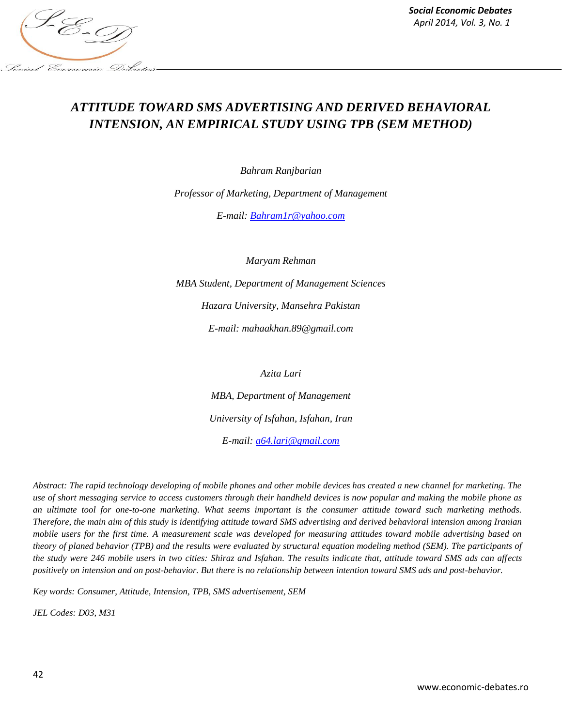

# *ATTITUDE TOWARD SMS ADVERTISING AND DERIVED BEHAVIORAL INTENSION, AN EMPIRICAL STUDY USING TPB (SEM METHOD)*

*Bahram Ranjbarian*

*Professor of Marketing, Department of Management*

*E-mail: [Bahram1r@yahoo.com](mailto:Bahram1r@yahoo.com)*

*Maryam Rehman*

*MBA Student, Department of Management Sciences Hazara University, Mansehra Pakistan E-mail: mahaakhan.89@gmail.com*

*Azita Lari*

*MBA, Department of Management University of Isfahan, Isfahan, Iran E-mail: [a64.lari@gmail.com](mailto:a64.lari@gmail.com)*

*Abstract: The rapid technology developing of mobile phones and other mobile devices has created a new channel for marketing. The use of short messaging service to access customers through their handheld devices is now popular and making the mobile phone as an ultimate tool for one-to-one marketing. What seems important is the consumer attitude toward such marketing methods. Therefore, the main aim of this study is identifying attitude toward SMS advertising and derived behavioral intension among Iranian mobile users for the first time. A measurement scale was developed for measuring attitudes toward mobile advertising based on theory of planed behavior (TPB) and the results were evaluated by structural equation modeling method (SEM). The participants of the study were 246 mobile users in two cities: Shiraz and Isfahan. The results indicate that, attitude toward SMS ads can affects positively on intension and on post-behavior. But there is no relationship between intention toward SMS ads and post-behavior.* 

*Key words: Consumer, Attitude, Intension, TPB, SMS advertisement, SEM*

*JEL Codes: D03, M31*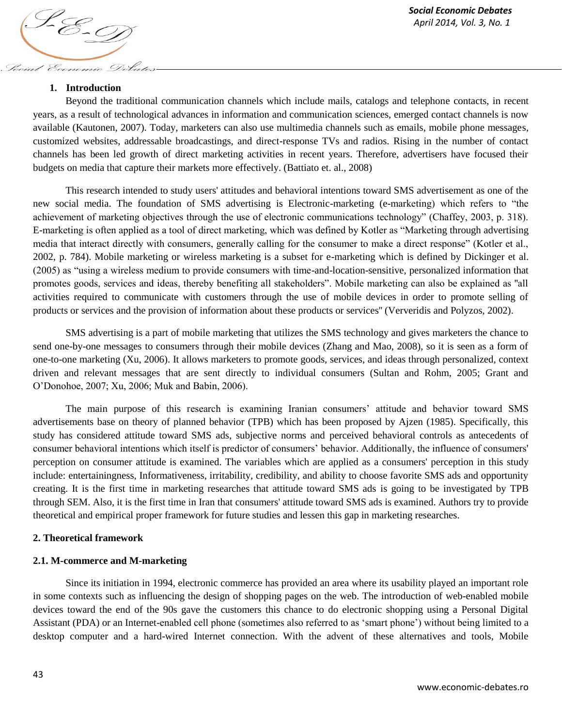#### **1. Introduction**

Social Economic Debates

Beyond the traditional communication channels which include mails, catalogs and telephone contacts, in recent years, as a result of technological advances in information and communication sciences, emerged contact channels is now available (Kautonen, 2007). Today, marketers can also use multimedia channels such as emails, mobile phone messages, customized websites, addressable broadcastings, and direct-response TVs and radios. Rising in the number of contact channels has been led growth of direct marketing activities in recent years. Therefore, advertisers have focused their budgets on media that capture their markets more effectively. (Battiato et. al., 2008)

This research intended to study users' attitudes and behavioral intentions toward SMS advertisement as one of the new social media. The foundation of SMS advertising is Electronic-marketing (e-marketing) which refers to "the achievement of marketing objectives through the use of electronic communications technology" (Chaffey, 2003, p. 318). E-marketing is often applied as a tool of direct marketing, which was defined by Kotler as "Marketing through advertising media that interact directly with consumers, generally calling for the consumer to make a direct response" (Kotler et al., 2002, p. 784). Mobile marketing or wireless marketing is a subset for e-marketing which is defined by Dickinger et al. (2005) as "using a wireless medium to provide consumers with time-and-location-sensitive, personalized information that promotes goods, services and ideas, thereby benefiting all stakeholders". Mobile marketing can also be explained as ''all activities required to communicate with customers through the use of mobile devices in order to promote selling of products or services and the provision of information about these products or services'' (Ververidis and Polyzos, 2002).

SMS advertising is a part of mobile marketing that utilizes the SMS technology and gives marketers the chance to send one-by-one messages to consumers through their mobile devices (Zhang and Mao, 2008), so it is seen as a form of one-to-one marketing (Xu, 2006). It allows marketers to promote goods, services, and ideas through personalized, context driven and relevant messages that are sent directly to individual consumers (Sultan and Rohm, 2005; Grant and O"Donohoe, 2007; Xu, 2006; Muk and Babin, 2006).

The main purpose of this research is examining Iranian consumers" attitude and behavior toward SMS advertisements base on theory of planned behavior (TPB) which has been proposed by Ajzen (1985). Specifically, this study has considered attitude toward SMS ads, subjective norms and perceived behavioral controls as antecedents of consumer behavioral intentions which itself is predictor of consumers" behavior. Additionally, the influence of consumers' perception on consumer attitude is examined. The variables which are applied as a consumers' perception in this study include: entertainingness, Informativeness, irritability, credibility, and ability to choose favorite SMS ads and opportunity creating. It is the first time in marketing researches that attitude toward SMS ads is going to be investigated by TPB through SEM. Also, it is the first time in Iran that consumers' attitude toward SMS ads is examined. Authors try to provide theoretical and empirical proper framework for future studies and lessen this gap in marketing researches.

#### **2. Theoretical framework**

#### **2.1. M-commerce and M-marketing**

Since its initiation in 1994, electronic commerce has provided an area where its usability played an important role in some contexts such as influencing the design of shopping pages on the web. The introduction of web-enabled mobile devices toward the end of the 90s gave the customers this chance to do electronic shopping using a Personal Digital Assistant (PDA) or an Internet-enabled cell phone (sometimes also referred to as "smart phone") without being limited to a desktop computer and a hard-wired Internet connection. With the advent of these alternatives and tools, Mobile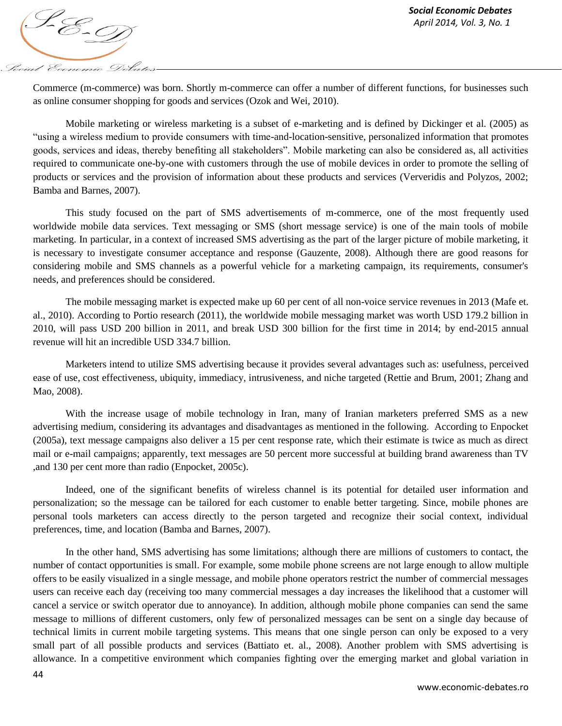

Commerce (m-commerce) was born. Shortly m-commerce can offer a number of different functions, for businesses such as online consumer shopping for goods and services (Ozok and Wei, 2010).

Mobile marketing or wireless marketing is a subset of e-marketing and is defined by Dickinger et al. (2005) as "using a wireless medium to provide consumers with time-and-location-sensitive, personalized information that promotes goods, services and ideas, thereby benefiting all stakeholders". Mobile marketing can also be considered as, all activities required to communicate one-by-one with customers through the use of mobile devices in order to promote the selling of products or services and the provision of information about these products and services (Ververidis and Polyzos, 2002; Bamba and Barnes, 2007).

This study focused on the part of SMS advertisements of m-commerce, one of the most frequently used worldwide mobile data services. Text messaging or SMS (short message service) is one of the main tools of mobile marketing. In particular, in a context of increased SMS advertising as the part of the larger picture of mobile marketing, it is necessary to investigate consumer acceptance and response (Gauzente, 2008). Although there are good reasons for considering mobile and SMS channels as a powerful vehicle for a marketing campaign, its requirements, consumer's needs, and preferences should be considered.

The mobile messaging market is expected make up 60 per cent of all non-voice service revenues in 2013 (Mafe et. al., 2010). According to Portio research (2011), the worldwide mobile messaging market was worth USD 179.2 billion in 2010, will pass USD 200 billion in 2011, and break USD 300 billion for the first time in 2014; by end-2015 annual revenue will hit an incredible USD 334.7 billion.

Marketers intend to utilize SMS advertising because it provides several advantages such as: usefulness, perceived ease of use, cost effectiveness, ubiquity, immediacy, intrusiveness, and niche targeted (Rettie and Brum, 2001; Zhang and Mao, 2008).

With the increase usage of mobile technology in Iran, many of Iranian marketers preferred SMS as a new advertising medium, considering its advantages and disadvantages as mentioned in the following. According to Enpocket (2005a), text message campaigns also deliver a 15 per cent response rate, which their estimate is twice as much as direct mail or e-mail campaigns; apparently, text messages are 50 percent more successful at building brand awareness than TV ,and 130 per cent more than radio (Enpocket, 2005c).

Indeed, one of the significant benefits of wireless channel is its potential for detailed user information and personalization; so the message can be tailored for each customer to enable better targeting. Since, mobile phones are personal tools marketers can access directly to the person targeted and recognize their social context, individual preferences, time, and location (Bamba and Barnes, 2007).

In the other hand, SMS advertising has some limitations; although there are millions of customers to contact, the number of contact opportunities is small. For example, some mobile phone screens are not large enough to allow multiple offers to be easily visualized in a single message, and mobile phone operators restrict the number of commercial messages users can receive each day (receiving too many commercial messages a day increases the likelihood that a customer will cancel a service or switch operator due to annoyance). In addition, although mobile phone companies can send the same message to millions of different customers, only few of personalized messages can be sent on a single day because of technical limits in current mobile targeting systems. This means that one single person can only be exposed to a very small part of all possible products and services (Battiato et. al., 2008). Another problem with SMS advertising is allowance. In a competitive environment which companies fighting over the emerging market and global variation in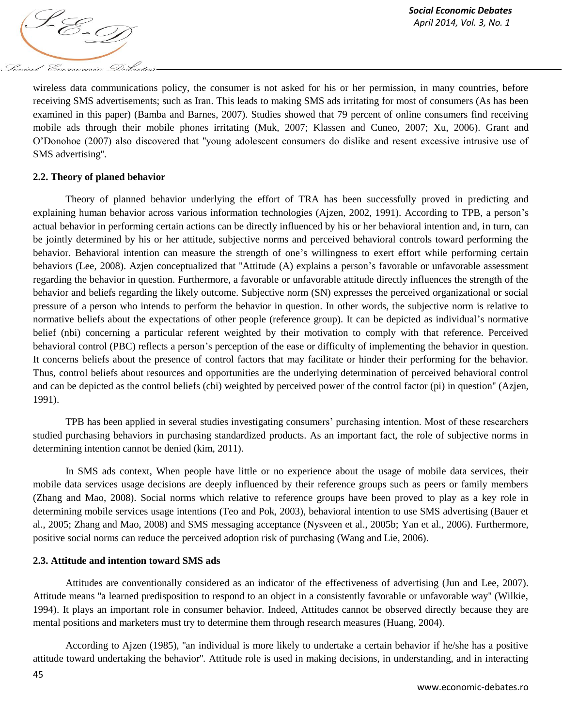wireless data communications policy, the consumer is not asked for his or her permission, in many countries, before receiving SMS advertisements; such as Iran. This leads to making SMS ads irritating for most of consumers (As has been examined in this paper) (Bamba and Barnes, 2007). Studies showed that 79 percent of online consumers find receiving mobile ads through their mobile phones irritating (Muk, 2007; Klassen and Cuneo, 2007; Xu, 2006). Grant and O"Donohoe (2007) also discovered that ''young adolescent consumers do dislike and resent excessive intrusive use of SMS advertising''.

## **2.2. Theory of planed behavior**

Theory of planned behavior underlying the effort of TRA has been successfully proved in predicting and explaining human behavior across various information technologies (Ajzen, 2002, 1991). According to TPB, a person"s actual behavior in performing certain actions can be directly influenced by his or her behavioral intention and, in turn, can be jointly determined by his or her attitude, subjective norms and perceived behavioral controls toward performing the behavior. Behavioral intention can measure the strength of one"s willingness to exert effort while performing certain behaviors (Lee, 2008). Azjen conceptualized that "Attitude (A) explains a person's favorable or unfavorable assessment regarding the behavior in question. Furthermore, a favorable or unfavorable attitude directly influences the strength of the behavior and beliefs regarding the likely outcome. Subjective norm (SN) expresses the perceived organizational or social pressure of a person who intends to perform the behavior in question. In other words, the subjective norm is relative to normative beliefs about the expectations of other people (reference group). It can be depicted as individual"s normative belief (nbi) concerning a particular referent weighted by their motivation to comply with that reference. Perceived behavioral control (PBC) reflects a person's perception of the ease or difficulty of implementing the behavior in question. It concerns beliefs about the presence of control factors that may facilitate or hinder their performing for the behavior. Thus, control beliefs about resources and opportunities are the underlying determination of perceived behavioral control and can be depicted as the control beliefs (cbi) weighted by perceived power of the control factor (pi) in question'' (Azjen, 1991).

TPB has been applied in several studies investigating consumers" purchasing intention. Most of these researchers studied purchasing behaviors in purchasing standardized products. As an important fact, the role of subjective norms in determining intention cannot be denied (kim, 2011).

In SMS ads context, When people have little or no experience about the usage of mobile data services, their mobile data services usage decisions are deeply influenced by their reference groups such as peers or family members (Zhang and Mao, 2008). Social norms which relative to reference groups have been proved to play as a key role in determining mobile services usage intentions (Teo and Pok, 2003), behavioral intention to use SMS advertising (Bauer et al., 2005; Zhang and Mao, 2008) and SMS messaging acceptance (Nysveen et al., 2005b; Yan et al., 2006). Furthermore, positive social norms can reduce the perceived adoption risk of purchasing (Wang and Lie, 2006).

## **2.3. Attitude and intention toward SMS ads**

Attitudes are conventionally considered as an indicator of the effectiveness of advertising (Jun and Lee, 2007). Attitude means ''a learned predisposition to respond to an object in a consistently favorable or unfavorable way'' (Wilkie, 1994). It plays an important role in consumer behavior. Indeed, Attitudes cannot be observed directly because they are mental positions and marketers must try to determine them through research measures (Huang, 2004).

According to Ajzen (1985), ''an individual is more likely to undertake a certain behavior if he/she has a positive attitude toward undertaking the behavior''. Attitude role is used in making decisions, in understanding, and in interacting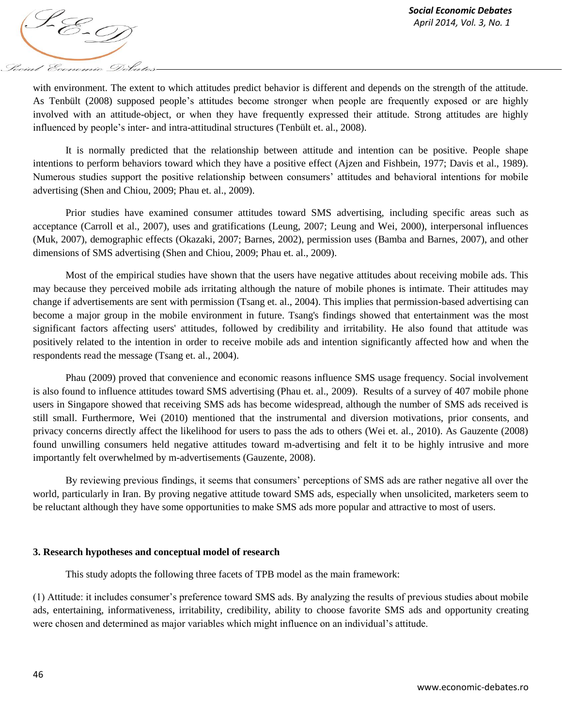*April 2014, Vol. 3, No. 1*<br>*April 2014, Vol. 3, No. 1* Social Economic Debates

with environment. The extent to which attitudes predict behavior is different and depends on the strength of the attitude. As Tenbült (2008) supposed people"s attitudes become stronger when people are frequently exposed or are highly involved with an attitude-object, or when they have frequently expressed their attitude. Strong attitudes are highly influenced by people"s inter- and intra-attitudinal structures (Tenbült et. al., 2008).

It is normally predicted that the relationship between attitude and intention can be positive. People shape intentions to perform behaviors toward which they have a positive effect (Ajzen and Fishbein, 1977; Davis et al., 1989). Numerous studies support the positive relationship between consumers' attitudes and behavioral intentions for mobile advertising (Shen and Chiou, 2009; Phau et. al., 2009).

Prior studies have examined consumer attitudes toward SMS advertising, including specific areas such as acceptance (Carroll et al., 2007), uses and gratifications (Leung, 2007; Leung and Wei, 2000), interpersonal influences (Muk, 2007), demographic effects (Okazaki, 2007; Barnes, 2002), permission uses (Bamba and Barnes, 2007), and other dimensions of SMS advertising (Shen and Chiou, 2009; Phau et. al., 2009).

Most of the empirical studies have shown that the users have negative attitudes about receiving mobile ads. This may because they perceived mobile ads irritating although the nature of mobile phones is intimate. Their attitudes may change if advertisements are sent with permission (Tsang et. al., 2004). This implies that permission-based advertising can become a major group in the mobile environment in future. Tsang's findings showed that entertainment was the most significant factors affecting users' attitudes, followed by credibility and irritability. He also found that attitude was positively related to the intention in order to receive mobile ads and intention significantly affected how and when the respondents read the message (Tsang et. al., 2004).

Phau (2009) proved that convenience and economic reasons influence SMS usage frequency. Social involvement is also found to influence attitudes toward SMS advertising (Phau et. al., 2009). Results of a survey of 407 mobile phone users in Singapore showed that receiving SMS ads has become widespread, although the number of SMS ads received is still small. Furthermore, Wei (2010) mentioned that the instrumental and diversion motivations, prior consents, and privacy concerns directly affect the likelihood for users to pass the ads to others (Wei et. al., 2010). As Gauzente (2008) found unwilling consumers held negative attitudes toward m-advertising and felt it to be highly intrusive and more importantly felt overwhelmed by m-advertisements (Gauzente, 2008).

By reviewing previous findings, it seems that consumers" perceptions of SMS ads are rather negative all over the world, particularly in Iran. By proving negative attitude toward SMS ads, especially when unsolicited, marketers seem to be reluctant although they have some opportunities to make SMS ads more popular and attractive to most of users.

## **3. Research hypotheses and conceptual model of research**

This study adopts the following three facets of TPB model as the main framework:

(1) Attitude: it includes consumer"s preference toward SMS ads. By analyzing the results of previous studies about mobile ads, entertaining, informativeness, irritability, credibility, ability to choose favorite SMS ads and opportunity creating were chosen and determined as major variables which might influence on an individual's attitude.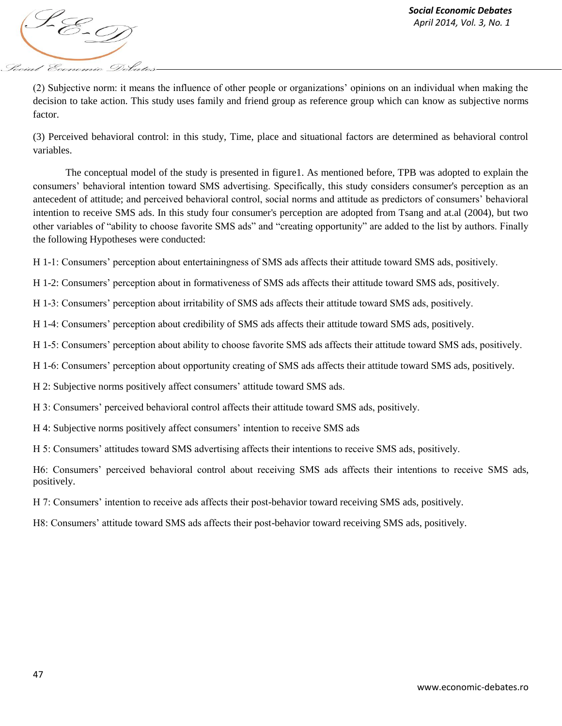

(2) Subjective norm: it means the influence of other people or organizations" opinions on an individual when making the decision to take action. This study uses family and friend group as reference group which can know as subjective norms factor.

(3) Perceived behavioral control: in this study, Time, place and situational factors are determined as behavioral control variables.

The conceptual model of the study is presented in figure1. As mentioned before, TPB was adopted to explain the consumers" behavioral intention toward SMS advertising. Specifically, this study considers consumer's perception as an antecedent of attitude; and perceived behavioral control, social norms and attitude as predictors of consumers" behavioral intention to receive SMS ads. In this study four consumer's perception are adopted from Tsang and at.al (2004), but two other variables of "ability to choose favorite SMS ads" and "creating opportunity" are added to the list by authors. Finally the following Hypotheses were conducted:

H 1-1: Consumers" perception about entertainingness of SMS ads affects their attitude toward SMS ads, positively.

H 1-2: Consumers" perception about in formativeness of SMS ads affects their attitude toward SMS ads, positively.

H 1-3: Consumers" perception about irritability of SMS ads affects their attitude toward SMS ads, positively.

H 1-4: Consumers" perception about credibility of SMS ads affects their attitude toward SMS ads, positively.

H 1-5: Consumers" perception about ability to choose favorite SMS ads affects their attitude toward SMS ads, positively.

H 1-6: Consumers" perception about opportunity creating of SMS ads affects their attitude toward SMS ads, positively.

H 2: Subjective norms positively affect consumers' attitude toward SMS ads.

H 3: Consumers" perceived behavioral control affects their attitude toward SMS ads, positively.

H 4: Subjective norms positively affect consumers' intention to receive SMS ads

H 5: Consumers' attitudes toward SMS advertising affects their intentions to receive SMS ads, positively.

H6: Consumers" perceived behavioral control about receiving SMS ads affects their intentions to receive SMS ads, positively.

H 7: Consumers" intention to receive ads affects their post-behavior toward receiving SMS ads, positively.

H8: Consumers" attitude toward SMS ads affects their post-behavior toward receiving SMS ads, positively.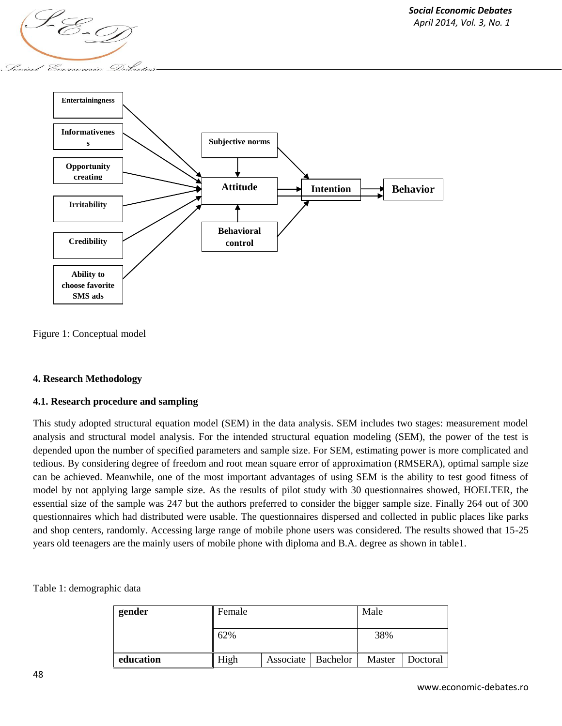

Figure 1: Conceptual model

## **4. Research Methodology**

## **4.1. Research procedure and sampling**

This study adopted structural equation model (SEM) in the data analysis. SEM includes two stages: measurement model analysis and structural model analysis. For the intended structural equation modeling (SEM), the power of the test is depended upon the number of specified parameters and sample size. For SEM, estimating power is more complicated and tedious. By considering degree of freedom and root mean square error of approximation (RMSERA), optimal sample size can be achieved. Meanwhile, one of the most important advantages of using SEM is the ability to test good fitness of model by not applying large sample size. As the results of pilot study with 30 questionnaires showed, HOELTER, the essential size of the sample was 247 but the authors preferred to consider the bigger sample size. Finally 264 out of 300 questionnaires which had distributed were usable. The questionnaires dispersed and collected in public places like parks and shop centers, randomly. Accessing large range of mobile phone users was considered. The results showed that 15-25 years old teenagers are the mainly users of mobile phone with diploma and B.A. degree as shown in table1.

Table 1: demographic data

| gender    | Female |                      |  | Male   |          |  |
|-----------|--------|----------------------|--|--------|----------|--|
|           | 62%    |                      |  | 38%    |          |  |
| education | High   | Associate   Bachelor |  | Master | Doctoral |  |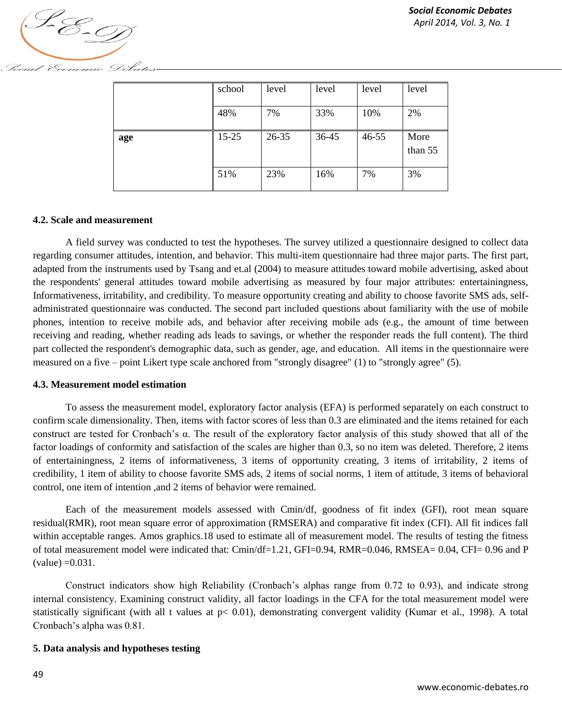

Social Economic Debates

|     | school    | level | level | level     | level           |
|-----|-----------|-------|-------|-----------|-----------------|
|     | 48%       | 7%    | 33%   | 10%       | 2%              |
| age | $15 - 25$ | 26-35 | 36-45 | $46 - 55$ | More<br>than 55 |
|     | 51%       | 23%   | 16%   | 7%        | 3%              |

#### **4.2. Scale and measurement**

A field survey was conducted to test the hypotheses. The survey utilized a questionnaire designed to collect data regarding consumer attitudes, intention, and behavior. This multi-item questionnaire had three major parts. The first part, adapted from the instruments used by Tsang and et.al (2004) to measure attitudes toward mobile advertising, asked about the respondents' general attitudes toward mobile advertising as measured by four major attributes: entertainingness, Informativeness, irritability, and credibility. To measure opportunity creating and ability to choose favorite SMS ads, selfadministrated questionnaire was conducted. The second part included questions about familiarity with the use of mobile phones, intention to receive mobile ads, and behavior after receiving mobile ads (e.g., the amount of time between receiving and reading, whether reading ads leads to savings, or whether the responder reads the full content). The third part collected the respondent's demographic data, such as gender, age, and education. All items in the questionnaire were measured on a five – point Likert type scale anchored from "strongly disagree" (1) to "strongly agree" (5).

#### **4.3. Measurement model estimation**

To assess the measurement model, exploratory factor analysis (EFA) is performed separately on each construct to confirm scale dimensionality. Then, items with factor scores of less than 0.3 are eliminated and the items retained for each construct are tested for Cronbach"s α. The result of the exploratory factor analysis of this study showed that all of the factor loadings of conformity and satisfaction of the scales are higher than 0.3, so no item was deleted. Therefore, 2 items of entertainingness, 2 items of informativeness, 3 items of opportunity creating, 3 items of irritability, 2 items of credibility, 1 item of ability to choose favorite SMS ads, 2 items of social norms, 1 item of attitude, 3 items of behavioral control, one item of intention ,and 2 items of behavior were remained.

Each of the measurement models assessed with Cmin/df, goodness of fit index (GFI), root mean square residual(RMR), root mean square error of approximation (RMSERA) and comparative fit index (CFI). All fit indices fall within acceptable ranges. Amos graphics.18 used to estimate all of measurement model. The results of testing the fitness of total measurement model were indicated that: Cmin/df=1.21, GFI=0.94, RMR=0.046, RMSEA= 0.04, CFI= 0.96 and P  $\text{(value)} = 0.031.$ 

Construct indicators show high Reliability (Cronbach"s alphas range from 0.72 to 0.93), and indicate strong internal consistency. Examining construct validity, all factor loadings in the CFA for the total measurement model were statistically significant (with all t values at p< 0.01), demonstrating convergent validity (Kumar et al., 1998). A total Cronbach"s alpha was 0.81.

#### **5. Data analysis and hypotheses testing**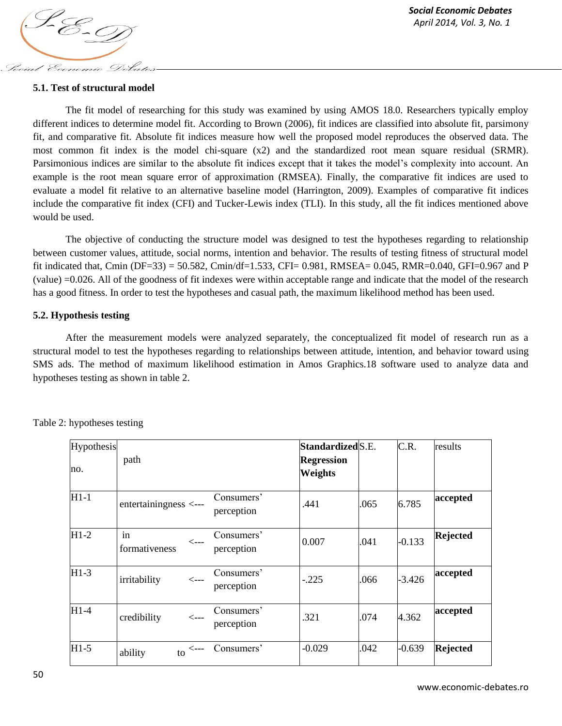

## **5.1. Test of structural model**

The fit model of researching for this study was examined by using AMOS 18.0. Researchers typically employ different indices to determine model fit. According to Brown (2006), fit indices are classified into absolute fit, parsimony fit, and comparative fit. Absolute fit indices measure how well the proposed model reproduces the observed data. The most common fit index is the model chi-square (x2) and the standardized root mean square residual (SRMR). Parsimonious indices are similar to the absolute fit indices except that it takes the model"s complexity into account. An example is the root mean square error of approximation (RMSEA). Finally, the comparative fit indices are used to evaluate a model fit relative to an alternative baseline model (Harrington, 2009). Examples of comparative fit indices include the comparative fit index (CFI) and Tucker-Lewis index (TLI). In this study, all the fit indices mentioned above would be used.

The objective of conducting the structure model was designed to test the hypotheses regarding to relationship between customer values, attitude, social norms, intention and behavior. The results of testing fitness of structural model fit indicated that, Cmin (DF=33) = 50.582, Cmin/df=1.533, CFI= 0.981, RMSEA= 0.045, RMR=0.040, GFI=0.967 and P (value) =0.026. All of the goodness of fit indexes were within acceptable range and indicate that the model of the research has a good fitness. In order to test the hypotheses and casual path, the maximum likelihood method has been used.

## **5.2. Hypothesis testing**

After the measurement models were analyzed separately, the conceptualized fit model of research run as a structural model to test the hypotheses regarding to relationships between attitude, intention, and behavior toward using SMS ads. The method of maximum likelihood estimation in Amos Graphics.18 software used to analyze data and hypotheses testing as shown in table 2.

| Hypothesis |                                                    |                          | Standardized S.E.                   |      | C.R.     | results         |
|------------|----------------------------------------------------|--------------------------|-------------------------------------|------|----------|-----------------|
| no.        | path                                               |                          | <b>Regression</b><br><b>Weights</b> |      |          |                 |
| $H1-1$     | entertainingness <---                              | Consumers'<br>perception | .441                                | .065 | 6.785    | accepted        |
| $H1-2$     | in<br>$\leftarrow$ ---<br>formativeness            | Consumers'<br>perception | 0.007                               | .041 | $-0.133$ | <b>Rejected</b> |
| $H1-3$     | irritability<br>$\operatorname{\!<\!---}\nolimits$ | Consumers'<br>perception | $-.225$                             | .066 | $-3.426$ | accepted        |
| $H1-4$     | credibility<br>$\leftarrow$ ---                    | Consumers'<br>perception | .321                                | .074 | 4.362    | accepted        |
| $H1-5$     | <---<br>ability<br>to                              | Consumers'               | $-0.029$                            | .042 | $-0.639$ | <b>Rejected</b> |

Table 2: hypotheses testing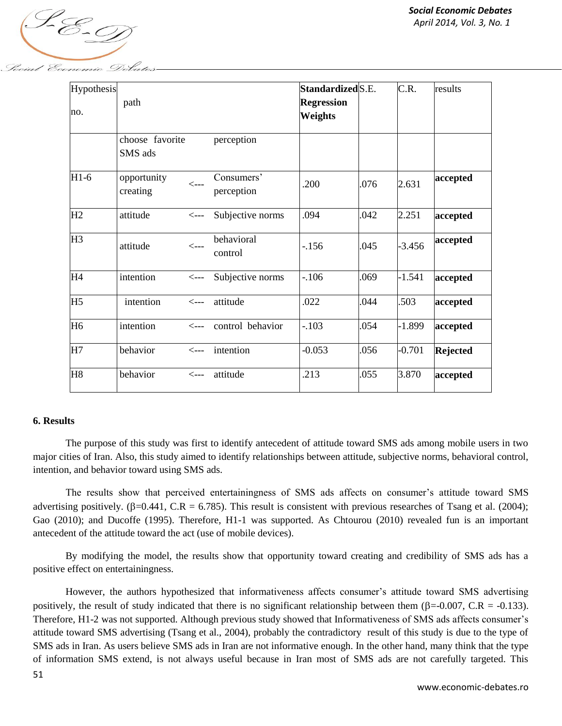

| Hypothesis<br>no. | path                       |                  |                          | Standardized S.E.<br><b>Regression</b><br><b>Weights</b> |      | C.R.     | results  |
|-------------------|----------------------------|------------------|--------------------------|----------------------------------------------------------|------|----------|----------|
|                   | choose favorite<br>SMS ads |                  | perception               |                                                          |      |          |          |
| $H1-6$            | opportunity<br>creating    | $\leftarrow$ --- | Consumers'<br>perception | .200                                                     | .076 | 2.631    | accepted |
| H2                | attitude                   | $\leftarrow$ --- | Subjective norms         | .094                                                     | .042 | 2.251    | accepted |
| H <sub>3</sub>    | attitude                   | $\leftarrow$ --- | behavioral<br>control    | $-156$                                                   | .045 | $-3.456$ | accepted |

The purpose of this study was first to identify antecedent of attitude toward SMS ads among mobile users in two major cities of Iran. Also, this study aimed to identify relationships between attitude, subjective norms, behavioral control, intention, and behavior toward using SMS ads.

The results show that perceived entertainingness of SMS ads affects on consumer"s attitude toward SMS advertising positively. ( $\beta$ =0.441, C.R = 6.785). This result is consistent with previous researches of Tsang et al. (2004); Gao (2010); and Ducoffe (1995). Therefore, H1-1 was supported. As Chtourou (2010) revealed fun is an important antecedent of the attitude toward the act (use of mobile devices).

H4 intention <--- Subjective norms  $\vert$ -.106  $\vert$ .069  $\vert$ -1.541 **accepted** 

H5 intention <--- attitude .022 .044 .503 **accepted**

H6 intention <--- control behavior -.103 .054 -1.899 **accepted**

H7 behavior <--- intention -0.053 .056 -0.701 **Rejected**

H8 behavior <--- attitude .213 .055 3.870 **accepted**

By modifying the model, the results show that opportunity toward creating and credibility of SMS ads has a positive effect on entertainingness.

However, the authors hypothesized that informativeness affects consumer"s attitude toward SMS advertising positively, the result of study indicated that there is no significant relationship between them ( $\beta$ =-0.007, C.R = -0.133). Therefore, H1-2 was not supported. Although previous study showed that Informativeness of SMS ads affects consumer"s attitude toward SMS advertising (Tsang et al., 2004), probably the contradictory result of this study is due to the type of SMS ads in Iran. As users believe SMS ads in Iran are not informative enough. In the other hand, many think that the type of information SMS extend, is not always useful because in Iran most of SMS ads are not carefully targeted. This

**6. Results**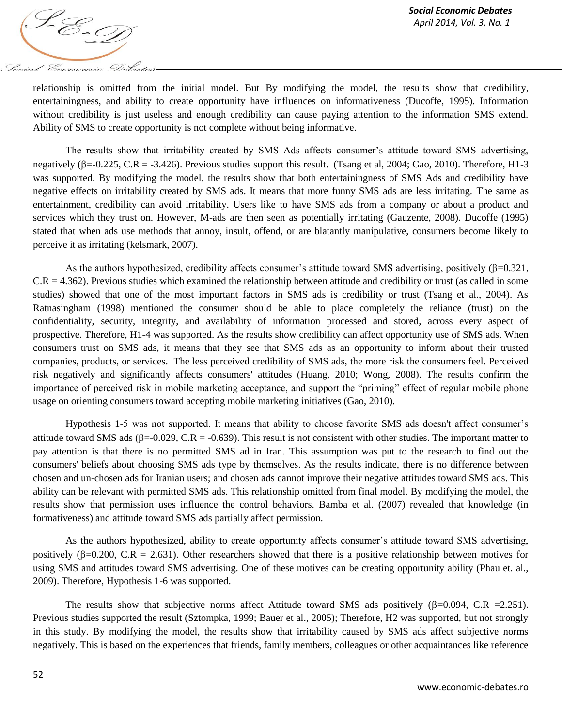

relationship is omitted from the initial model. But By modifying the model, the results show that credibility, entertainingness, and ability to create opportunity have influences on informativeness (Ducoffe, 1995). Information without credibility is just useless and enough credibility can cause paying attention to the information SMS extend. Ability of SMS to create opportunity is not complete without being informative.

The results show that irritability created by SMS Ads affects consumer"s attitude toward SMS advertising, negatively  $(\beta = 0.225, C.R = -3.426)$ . Previous studies support this result. (Tsang et al, 2004; Gao, 2010). Therefore, H1-3 was supported. By modifying the model, the results show that both entertainingness of SMS Ads and credibility have negative effects on irritability created by SMS ads. It means that more funny SMS ads are less irritating. The same as entertainment, credibility can avoid irritability. Users like to have SMS ads from a company or about a product and services which they trust on. However, M-ads are then seen as potentially irritating (Gauzente, 2008). Ducoffe (1995) stated that when ads use methods that annoy, insult, offend, or are blatantly manipulative, consumers become likely to perceive it as irritating (kelsmark, 2007).

As the authors hypothesized, credibility affects consumer's attitude toward SMS advertising, positively  $(\beta=0.321,$  $C.R = 4.362$ ). Previous studies which examined the relationship between attitude and credibility or trust (as called in some studies) showed that one of the most important factors in SMS ads is credibility or trust (Tsang et al., 2004). As Ratnasingham (1998) mentioned the consumer should be able to place completely the reliance (trust) on the confidentiality, security, integrity, and availability of information processed and stored, across every aspect of prospective. Therefore, H1-4 was supported. As the results show credibility can affect opportunity use of SMS ads. When consumers trust on SMS ads, it means that they see that SMS ads as an opportunity to inform about their trusted companies, products, or services. The less perceived credibility of SMS ads, the more risk the consumers feel. Perceived risk negatively and significantly affects consumers' attitudes (Huang, 2010; Wong, 2008). The results confirm the importance of perceived risk in mobile marketing acceptance, and support the "priming" effect of regular mobile phone usage on orienting consumers toward accepting mobile marketing initiatives (Gao, 2010).

Hypothesis 1-5 was not supported. It means that ability to choose favorite SMS ads doesn't affect consumer"s attitude toward SMS ads ( $\beta$ =-0.029, C.R = -0.639). This result is not consistent with other studies. The important matter to pay attention is that there is no permitted SMS ad in Iran. This assumption was put to the research to find out the consumers' beliefs about choosing SMS ads type by themselves. As the results indicate, there is no difference between chosen and un-chosen ads for Iranian users; and chosen ads cannot improve their negative attitudes toward SMS ads. This ability can be relevant with permitted SMS ads. This relationship omitted from final model. By modifying the model, the results show that permission uses influence the control behaviors. Bamba et al. (2007) revealed that knowledge (in formativeness) and attitude toward SMS ads partially affect permission.

As the authors hypothesized, ability to create opportunity affects consumer"s attitude toward SMS advertising, positively ( $\beta$ =0.200, C.R = 2.631). Other researchers showed that there is a positive relationship between motives for using SMS and attitudes toward SMS advertising. One of these motives can be creating opportunity ability (Phau et. al., 2009). Therefore, Hypothesis 1-6 was supported.

The results show that subjective norms affect Attitude toward SMS ads positively  $(\beta=0.094, C.R = 2.251)$ . Previous studies supported the result (Sztompka, 1999; Bauer et al., 2005); Therefore, H2 was supported, but not strongly in this study. By modifying the model, the results show that irritability caused by SMS ads affect subjective norms negatively. This is based on the experiences that friends, family members, colleagues or other acquaintances like reference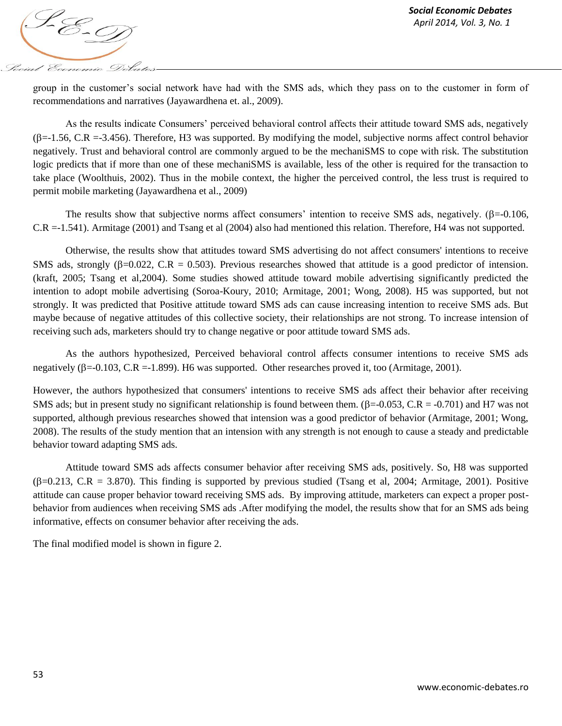

group in the customer"s social network have had with the SMS ads, which they pass on to the customer in form of recommendations and narratives (Jayawardhena et. al., 2009).

As the results indicate Consumers" perceived behavioral control affects their attitude toward SMS ads, negatively  $(\beta = -1.56, C.R = -3.456)$ . Therefore, H3 was supported. By modifying the model, subjective norms affect control behavior negatively. Trust and behavioral control are commonly argued to be the mechaniSMS to cope with risk. The substitution logic predicts that if more than one of these mechaniSMS is available, less of the other is required for the transaction to take place (Woolthuis, 2002). Thus in the mobile context, the higher the perceived control, the less trust is required to permit mobile marketing (Jayawardhena et al., 2009)

The results show that subjective norms affect consumers' intention to receive SMS ads, negatively.  $(\beta = 0.106,$ C.R =-1.541). Armitage (2001) and Tsang et al (2004) also had mentioned this relation. Therefore, H4 was not supported.

Otherwise, the results show that attitudes toward SMS advertising do not affect consumers' intentions to receive SMS ads, strongly ( $\beta$ =0.022, C.R = 0.503). Previous researches showed that attitude is a good predictor of intension. (kraft, 2005; Tsang et al,2004). Some studies showed attitude toward mobile advertising significantly predicted the intention to adopt mobile advertising (Soroa-Koury, 2010; Armitage, 2001; Wong, 2008). H5 was supported, but not strongly. It was predicted that Positive attitude toward SMS ads can cause increasing intention to receive SMS ads. But maybe because of negative attitudes of this collective society, their relationships are not strong. To increase intension of receiving such ads, marketers should try to change negative or poor attitude toward SMS ads.

As the authors hypothesized, Perceived behavioral control affects consumer intentions to receive SMS ads negatively ( $\beta$ =-0.103, C.R =-1.899). H6 was supported. Other researches proved it, too (Armitage, 2001).

However, the authors hypothesized that consumers' intentions to receive SMS ads affect their behavior after receiving SMS ads; but in present study no significant relationship is found between them.  $(\beta = 0.053, C.R = -0.701)$  and H7 was not supported, although previous researches showed that intension was a good predictor of behavior (Armitage, 2001; Wong, 2008). The results of the study mention that an intension with any strength is not enough to cause a steady and predictable behavior toward adapting SMS ads.

Attitude toward SMS ads affects consumer behavior after receiving SMS ads, positively. So, H8 was supported  $(\beta=0.213, C.R = 3.870)$ . This finding is supported by previous studied (Tsang et al, 2004; Armitage, 2001). Positive attitude can cause proper behavior toward receiving SMS ads. By improving attitude, marketers can expect a proper postbehavior from audiences when receiving SMS ads .After modifying the model, the results show that for an SMS ads being informative, effects on consumer behavior after receiving the ads.

The final modified model is shown in figure 2.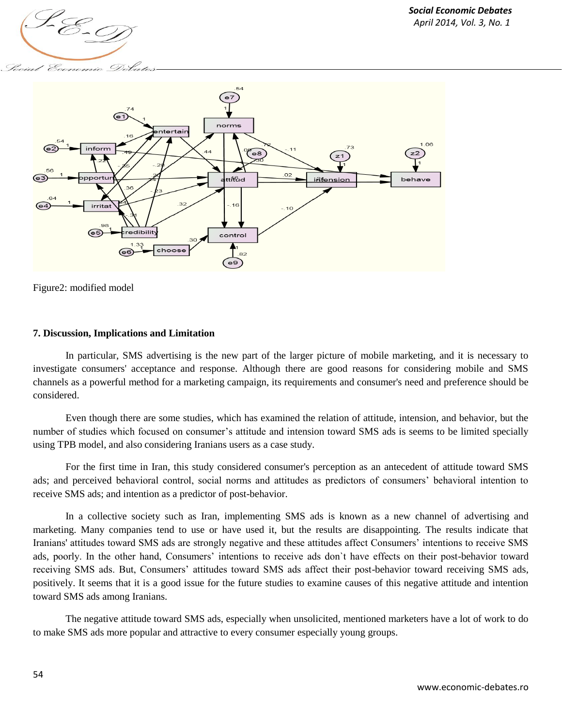

' Economic



Figure2: modified model

## **7. Discussion, Implications and Limitation**

In particular, SMS advertising is the new part of the larger picture of mobile marketing, and it is necessary to investigate consumers' acceptance and response. Although there are good reasons for considering mobile and SMS channels as a powerful method for a marketing campaign, its requirements and consumer's need and preference should be considered.

Even though there are some studies, which has examined the relation of attitude, intension, and behavior, but the number of studies which focused on consumer's attitude and intension toward SMS ads is seems to be limited specially using TPB model, and also considering Iranians users as a case study.

For the first time in Iran, this study considered consumer's perception as an antecedent of attitude toward SMS ads; and perceived behavioral control, social norms and attitudes as predictors of consumers" behavioral intention to receive SMS ads; and intention as a predictor of post-behavior.

In a collective society such as Iran, implementing SMS ads is known as a new channel of advertising and marketing. Many companies tend to use or have used it, but the results are disappointing. The results indicate that Iranians' attitudes toward SMS ads are strongly negative and these attitudes affect Consumers" intentions to receive SMS ads, poorly. In the other hand, Consumers" intentions to receive ads don`t have effects on their post-behavior toward receiving SMS ads. But, Consumers' attitudes toward SMS ads affect their post-behavior toward receiving SMS ads, positively. It seems that it is a good issue for the future studies to examine causes of this negative attitude and intention toward SMS ads among Iranians.

The negative attitude toward SMS ads, especially when unsolicited, mentioned marketers have a lot of work to do to make SMS ads more popular and attractive to every consumer especially young groups.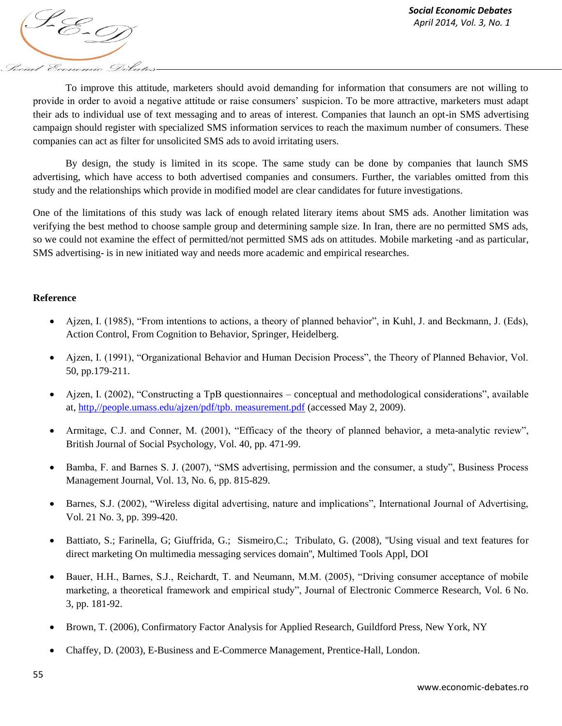

To improve this attitude, marketers should avoid demanding for information that consumers are not willing to provide in order to avoid a negative attitude or raise consumers' suspicion. To be more attractive, marketers must adapt their ads to individual use of text messaging and to areas of interest. Companies that launch an opt-in SMS advertising campaign should register with specialized SMS information services to reach the maximum number of consumers. These companies can act as filter for unsolicited SMS ads to avoid irritating users.

By design, the study is limited in its scope. The same study can be done by companies that launch SMS advertising, which have access to both advertised companies and consumers. Further, the variables omitted from this study and the relationships which provide in modified model are clear candidates for future investigations.

One of the limitations of this study was lack of enough related literary items about SMS ads. Another limitation was verifying the best method to choose sample group and determining sample size. In Iran, there are no permitted SMS ads, so we could not examine the effect of permitted/not permitted SMS ads on attitudes. Mobile marketing -and as particular, SMS advertising- is in new initiated way and needs more academic and empirical researches.

## **Reference**

- Ajzen, I. (1985), "From intentions to actions, a theory of planned behavior", in Kuhl, J. and Beckmann, J. (Eds), Action Control, From Cognition to Behavior, Springer, Heidelberg.
- Ajzen, I. (1991), "Organizational Behavior and Human Decision Process", the Theory of Planned Behavior, Vol. 50, pp.179-211.
- Ajzen, I. (2002), "Constructing a TpB questionnaires conceptual and methodological considerations", available at, [http,//people.umass.edu/ajzen/pdf/tpb. measurement.pdf](http://people.umass.edu/aizen/pdf/tpb.%20measurement.pdf) (accessed May 2, 2009).
- Armitage, C.J. and Conner, M. (2001), "Efficacy of the theory of planned behavior, a meta-analytic review", British Journal of Social Psychology, Vol. 40, pp. 471-99.
- Bamba, F. and Barnes S. J. (2007), "SMS advertising, permission and the consumer, a study", Business Process Management Journal, Vol. 13, No. 6, pp. 815-829.
- Barnes, S.J. (2002), "Wireless digital advertising, nature and implications", International Journal of Advertising, Vol. 21 No. 3, pp. 399-420.
- Battiato, S.; Farinella, G; Giuffrida, G.; Sismeiro,C.; Tribulato, G. (2008), ''Using visual and text features for direct marketing On multimedia messaging services domain'', Multimed Tools Appl, DOI
- Bauer, H.H., Barnes, S.J., Reichardt, T. and Neumann, M.M. (2005), "Driving consumer acceptance of mobile marketing, a theoretical framework and empirical study", Journal of Electronic Commerce Research, Vol. 6 No. 3, pp. 181-92.
- Brown, T. (2006), Confirmatory Factor Analysis for Applied Research, Guildford Press, New York, NY
- Chaffey, D. (2003), E-Business and E-Commerce Management, Prentice-Hall, London.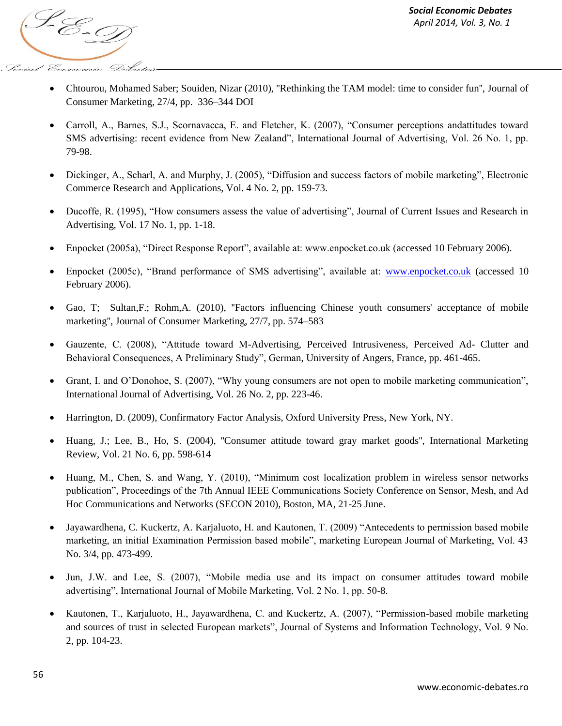

- Chtourou, Mohamed Saber; Souiden, Nizar (2010), ''Rethinking the TAM model: time to consider fun'', Journal of Consumer Marketing, 27/4, pp. 336–344 DOI
- Carroll, A., Barnes, S.J., Scornavacca, E. and Fletcher, K. (2007), "Consumer perceptions andattitudes toward SMS advertising: recent evidence from New Zealand", International Journal of Advertising, Vol. 26 No. 1, pp. 79-98.
- Dickinger, A., Scharl, A. and Murphy, J. (2005), "Diffusion and success factors of mobile marketing", Electronic Commerce Research and Applications, Vol. 4 No. 2, pp. 159-73.
- Ducoffe, R. (1995), "How consumers assess the value of advertising", Journal of Current Issues and Research in Advertising, Vol. 17 No. 1, pp. 1-18.
- Enpocket (2005a), "Direct Response Report", available at: www.enpocket.co.uk (accessed 10 February 2006).
- Enpocket (2005c), "Brand performance of SMS advertising", available at: [www.enpocket.co.uk](http://www.enpocket.co.uk/) (accessed 10 February 2006).
- Gao, T; Sultan,F.; Rohm,A. (2010), ''Factors influencing Chinese youth consumers' acceptance of mobile marketing'', Journal of Consumer Marketing, 27/7, pp. 574–583
- Gauzente, C. (2008), "Attitude toward M-Advertising, Perceived Intrusiveness, Perceived Ad- Clutter and Behavioral Consequences, A Preliminary Study", German, University of Angers, France, pp. 461-465.
- Grant, I. and O"Donohoe, S. (2007), "Why young consumers are not open to mobile marketing communication", International Journal of Advertising, Vol. 26 No. 2, pp. 223-46.
- Harrington, D. (2009), Confirmatory Factor Analysis, Oxford University Press, New York, NY.
- Huang, J.; Lee, B., Ho, S. (2004), ''Consumer attitude toward gray market goods'', International Marketing Review, Vol. 21 No. 6, pp. 598-614
- Huang, M., Chen, S. and Wang, Y. (2010), "Minimum cost localization problem in wireless sensor networks publication", Proceedings of the 7th Annual IEEE Communications Society Conference on Sensor, Mesh, and Ad Hoc Communications and Networks (SECON 2010), Boston, MA, 21-25 June.
- Jayawardhena, C. Kuckertz, A. Karjaluoto, H. and Kautonen, T. (2009) "Antecedents to permission based mobile marketing, an initial Examination Permission based mobile", marketing European Journal of Marketing, Vol. 43 No. 3/4, pp. 473-499.
- Jun, J.W. and Lee, S. (2007), "Mobile media use and its impact on consumer attitudes toward mobile advertising", International Journal of Mobile Marketing, Vol. 2 No. 1, pp. 50-8.
- Kautonen, T., Karjaluoto, H., Jayawardhena, C. and Kuckertz, A. (2007), "Permission-based mobile marketing and sources of trust in selected European markets", Journal of Systems and Information Technology, Vol. 9 No. 2, pp. 104-23.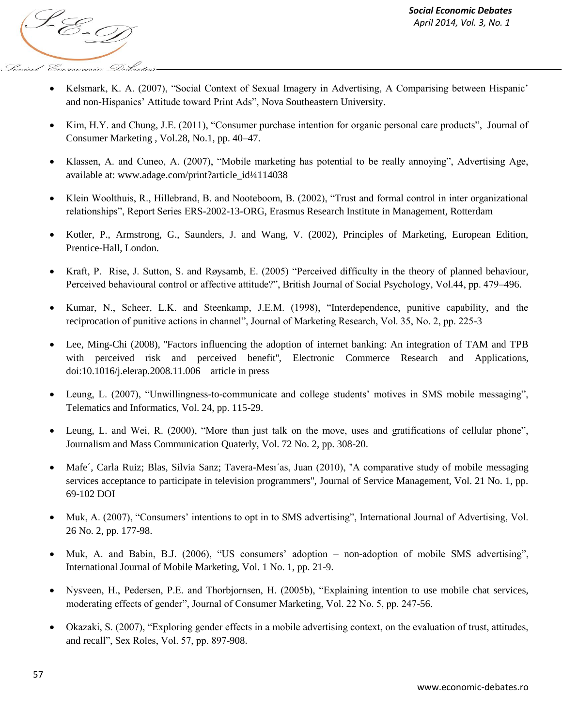

- Kelsmark, K. A. (2007), "Social Context of Sexual Imagery in Advertising, A Comparising between Hispanic' and non-Hispanics" Attitude toward Print Ads", Nova Southeastern University.
- Kim, H.Y. and Chung, J.E. (2011), "Consumer purchase intention for organic personal care products", Journal of Consumer Marketing , Vol.28, No.1, pp. 40–47.
- Klassen, A. and Cuneo, A. (2007), "Mobile marketing has potential to be really annoying", Advertising Age, available at: www.adage.com/print?article\_id¼114038
- Klein Woolthuis, R., Hillebrand, B. and Nooteboom, B. (2002), "Trust and formal control in inter organizational relationships", Report Series ERS-2002-13-ORG, Erasmus Research Institute in Management, Rotterdam
- Kotler, P., Armstrong, G., Saunders, J. and Wang, V. (2002), Principles of Marketing, European Edition, Prentice-Hall, London.
- Kraft, P. Rise, J. Sutton, S. and Røysamb, E. (2005) "Perceived difficulty in the theory of planned behaviour, Perceived behavioural control or affective attitude?", British Journal of Social Psychology, Vol.44, pp. 479–496.
- Kumar, N., Scheer, L.K. and Steenkamp, J.E.M. (1998), "Interdependence, punitive capability, and the reciprocation of punitive actions in channel", Journal of Marketing Research, Vol. 35, No. 2, pp. 225-3
- Lee, Ming-Chi (2008), "Factors influencing the adoption of internet banking: An integration of TAM and TPB with perceived risk and perceived benefit", Electronic Commerce Research and Applications, doi:10.1016/j.elerap.2008.11.006 article in press
- Leung, L. (2007), "Unwillingness-to-communicate and college students' motives in SMS mobile messaging". Telematics and Informatics, Vol. 24, pp. 115-29.
- Leung, L. and Wei, R. (2000), "More than just talk on the move, uses and gratifications of cellular phone", Journalism and Mass Communication Quaterly, Vol. 72 No. 2, pp. 308-20.
- Mafe´, Carla Ruiz; Blas, Silvia Sanz; Tavera-Mesı´as, Juan (2010), ''A comparative study of mobile messaging services acceptance to participate in television programmers'', Journal of Service Management, Vol. 21 No. 1, pp. 69-102 DOI
- Muk, A. (2007), "Consumers' intentions to opt in to SMS advertising", International Journal of Advertising, Vol. 26 No. 2, pp. 177-98.
- Muk, A. and Babin, B.J. (2006), "US consumers' adoption non-adoption of mobile SMS advertising", International Journal of Mobile Marketing, Vol. 1 No. 1, pp. 21-9.
- Nysveen, H., Pedersen, P.E. and Thorbjornsen, H. (2005b), "Explaining intention to use mobile chat services, moderating effects of gender", Journal of Consumer Marketing, Vol. 22 No. 5, pp. 247-56.
- Okazaki, S. (2007), "Exploring gender effects in a mobile advertising context, on the evaluation of trust, attitudes, and recall", Sex Roles, Vol. 57, pp. 897-908.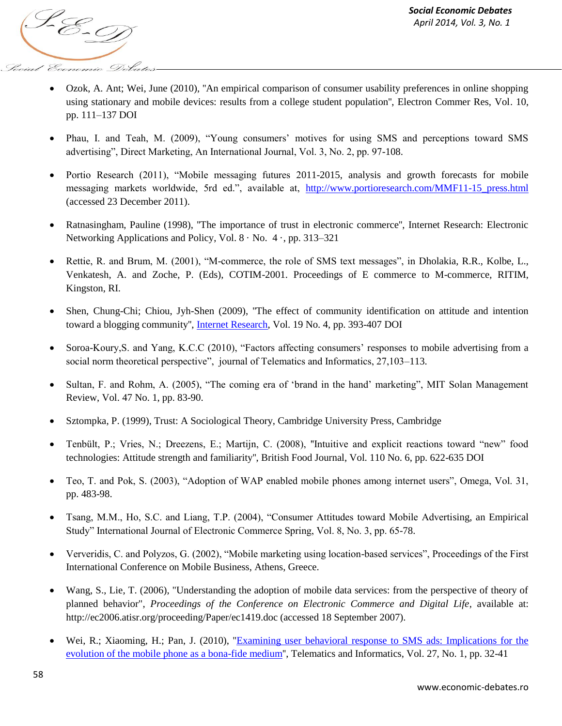

- Ozok, A. Ant; Wei, June (2010), ''An empirical comparison of consumer usability preferences in online shopping using stationary and mobile devices: results from a college student population'', Electron Commer Res, Vol. 10, pp. 111–137 DOI
- Phau, I. and Teah, M. (2009), "Young consumers' motives for using SMS and perceptions toward SMS advertising", Direct Marketing, An International Journal, Vol. 3, No. 2, pp. 97-108.
- Portio Research (2011), "Mobile messaging futures 2011-2015, analysis and growth forecasts for mobile messaging markets worldwide, 5rd ed.", available at, [http://www.portioresearch.com/MMF11-15\\_press.html](http://www.portioresearch.com/MMF11-15_press.html)  (accessed 23 December 2011).
- Ratnasingham, Pauline (1998), ''The importance of trust in electronic commerce'', Internet Research: Electronic Networking Applications and Policy, Vol.  $8 \cdot$  No.  $4 \cdot$ , pp. 313–321
- Rettie, R. and Brum, M. (2001), "M-commerce, the role of SMS text messages", in Dholakia, R.R., Kolbe, L., Venkatesh, A. and Zoche, P. (Eds), COTIM-2001. Proceedings of E commerce to M-commerce, RITIM, Kingston, RI.
- Shen, Chung-Chi; Chiou, Jyh-Shen (2009), ''The effect of community identification on attitude and intention toward a blogging community'', [Internet Research,](http://www.emeraldinsight.com/journals.htm?issn=1066-2243) Vol. 19 No. 4, pp. 393-407 DOI
- Soroa-Koury, S. and Yang, K.C.C (2010), "Factors affecting consumers' responses to mobile advertising from a social norm theoretical perspective", journal of Telematics and Informatics, 27,103–113.
- Sultan, F. and Rohm, A. (2005), "The coming era of 'brand in the hand' marketing", MIT Solan Management Review, Vol. 47 No. 1, pp. 83-90.
- Sztompka, P. (1999), Trust: A Sociological Theory, Cambridge University Press, Cambridge
- Tenbült, P.; Vries, N.; Dreezens, E.; Martijn, C. (2008), ''Intuitive and explicit reactions toward "new" food technologies: Attitude strength and familiarity'', British Food Journal, Vol. 110 No. 6, pp. 622-635 DOI
- Teo, T. and Pok, S. (2003), "Adoption of WAP enabled mobile phones among internet users", Omega, Vol. 31, pp. 483-98.
- Tsang, M.M., Ho, S.C. and Liang, T.P. (2004), "Consumer Attitudes toward Mobile Advertising, an Empirical Study" International Journal of Electronic Commerce Spring, Vol. 8, No. 3, pp. 65-78.
- Ververidis, C. and Polyzos, G. (2002), "Mobile marketing using location-based services", Proceedings of the First International Conference on Mobile Business, Athens, Greece.
- Wang, S., Lie, T. (2006), "Understanding the adoption of mobile data services: from the perspective of theory of planned behavior", *Proceedings of the Conference on Electronic Commerce and Digital Life*, available at: http://ec2006.atisr.org/proceeding/Paper/ec1419.doc (accessed 18 September 2007).
- Wei, R.; Xiaoming, H.; Pan, J. (2010), "Examining user behavioral response to SMS ads: Implications for the [evolution of the mobile phone as a bona-fide medium'](http://www.sciencedirect.com/science/article/pii/S0736585309000197?_alid=1866747326&_rdoc=1&_fmt=high&_origin=search&_docanchor=&_ct=4&_zone=rslt_list_item&md5=31038766ca368be122c89c1a33b94dc4)', Telematics and Informatics, Vol. 27, No. 1, pp. 32-41